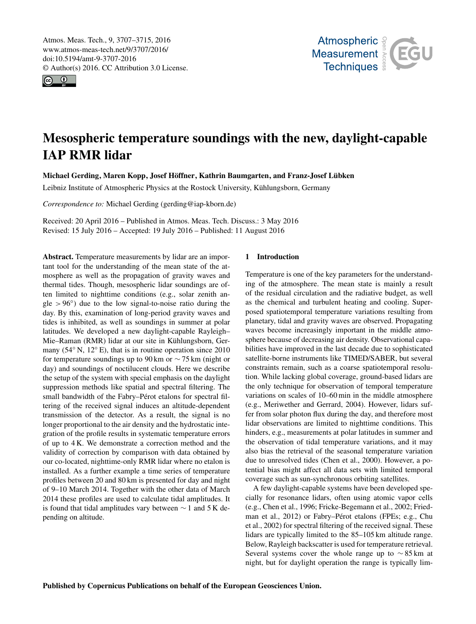<span id="page-0-0"></span>Atmos. Meas. Tech., 9, 3707–3715, 2016 www.atmos-meas-tech.net/9/3707/2016/ doi:10.5194/amt-9-3707-2016 © Author(s) 2016. CC Attribution 3.0 License.





# Mesospheric temperature soundings with the new, daylight-capable IAP RMR lidar

Michael Gerding, Maren Kopp, Josef Höffner, Kathrin Baumgarten, and Franz-Josef Lübken

Leibniz Institute of Atmospheric Physics at the Rostock University, Kühlungsborn, Germany

*Correspondence to:* Michael Gerding (gerding@iap-kborn.de)

Received: 20 April 2016 – Published in Atmos. Meas. Tech. Discuss.: 3 May 2016 Revised: 15 July 2016 – Accepted: 19 July 2016 – Published: 11 August 2016

Abstract. Temperature measurements by lidar are an important tool for the understanding of the mean state of the atmosphere as well as the propagation of gravity waves and thermal tides. Though, mesospheric lidar soundings are often limited to nighttime conditions (e.g., solar zenith an $gle > 96°$ ) due to the low signal-to-noise ratio during the day. By this, examination of long-period gravity waves and tides is inhibited, as well as soundings in summer at polar latitudes. We developed a new daylight-capable Rayleigh– Mie–Raman (RMR) lidar at our site in Kühlungsborn, Germany (54<sup>°</sup> N, 12<sup>°</sup> E), that is in routine operation since 2010 for temperature soundings up to 90 km or ∼ 75 km (night or day) and soundings of noctilucent clouds. Here we describe the setup of the system with special emphasis on the daylight suppression methods like spatial and spectral filtering. The small bandwidth of the Fabry–Pérot etalons for spectral filtering of the received signal induces an altitude-dependent transmission of the detector. As a result, the signal is no longer proportional to the air density and the hydrostatic integration of the profile results in systematic temperature errors of up to 4 K. We demonstrate a correction method and the validity of correction by comparison with data obtained by our co-located, nighttime-only RMR lidar where no etalon is installed. As a further example a time series of temperature profiles between 20 and 80 km is presented for day and night of 9–10 March 2014. Together with the other data of March 2014 these profiles are used to calculate tidal amplitudes. It is found that tidal amplitudes vary between ∼ 1 and 5 K depending on altitude.

#### 1 Introduction

Temperature is one of the key parameters for the understanding of the atmosphere. The mean state is mainly a result of the residual circulation and the radiative budget, as well as the chemical and turbulent heating and cooling. Superposed spatiotemporal temperature variations resulting from planetary, tidal and gravity waves are observed. Propagating waves become increasingly important in the middle atmosphere because of decreasing air density. Observational capabilities have improved in the last decade due to sophisticated satellite-borne instruments like TIMED/SABER, but several constraints remain, such as a coarse spatiotemporal resolution. While lacking global coverage, ground-based lidars are the only technique for observation of temporal temperature variations on scales of 10–60 min in the middle atmosphere (e.g., [Meriwether and Gerrard,](#page-8-0) [2004\)](#page-8-0). However, lidars suffer from solar photon flux during the day, and therefore most lidar observations are limited to nighttime conditions. This hinders, e.g., measurements at polar latitudes in summer and the observation of tidal temperature variations, and it may also bias the retrieval of the seasonal temperature variation due to unresolved tides [\(Chen et al.,](#page-7-0) [2000\)](#page-7-0). However, a potential bias might affect all data sets with limited temporal coverage such as sun-synchronous orbiting satellites.

A few daylight-capable systems have been developed specially for resonance lidars, often using atomic vapor cells (e.g., [Chen et al.,](#page-7-1) [1996;](#page-7-1) [Fricke-Begemann et al.,](#page-7-2) [2002;](#page-7-2) [Fried](#page-7-3)[man et al.,](#page-7-3) [2012\)](#page-7-3) or Fabry–Pérot etalons (FPEs; e.g., [Chu](#page-7-4) [et al.,](#page-7-4) [2002\)](#page-7-4) for spectral filtering of the received signal. These lidars are typically limited to the 85–105 km altitude range. Below, Rayleigh backscatter is used for temperature retrieval. Several systems cover the whole range up to  $\sim$  85 km at night, but for daylight operation the range is typically lim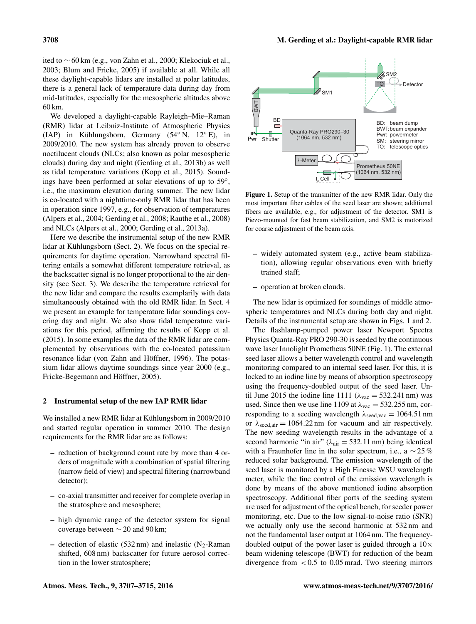ited to ∼ 60 km (e.g., [von Zahn et al.,](#page-8-1) [2000;](#page-8-1) [Klekociuk et al.,](#page-8-2) [2003;](#page-8-2) [Blum and Fricke,](#page-7-5) [2005\)](#page-7-5) if available at all. While all these daylight-capable lidars are installed at polar latitudes, there is a general lack of temperature data during day from mid-latitudes, especially for the mesospheric altitudes above 60 km.

We developed a daylight-capable Rayleigh–Mie–Raman (RMR) lidar at Leibniz-Institute of Atmospheric Physics (IAP) in Kühlungsborn, Germany (54◦ N, 12◦ E), in 2009/2010. The new system has already proven to observe noctilucent clouds (NLCs; also known as polar mesospheric clouds) during day and night [\(Gerding et al.,](#page-8-3) [2013b\)](#page-8-3) as well as tidal temperature variations [\(Kopp et al.,](#page-8-4) [2015\)](#page-8-4). Soundings have been performed at solar elevations of up to 59◦ , i.e., the maximum elevation during summer. The new lidar is co-located with a nighttime-only RMR lidar that has been in operation since 1997, e.g., for observation of temperatures [\(Alpers et al.,](#page-7-6) [2004;](#page-7-6) [Gerding et al.,](#page-7-7) [2008;](#page-7-7) [Rauthe et al.,](#page-8-5) [2008\)](#page-8-5) and NLCs [\(Alpers et al.,](#page-7-8) [2000;](#page-7-8) [Gerding et al.,](#page-8-6) [2013a\)](#page-8-6).

Here we describe the instrumental setup of the new RMR lidar at Kühlungsborn (Sect. 2). We focus on the special requirements for daytime operation. Narrowband spectral filtering entails a somewhat different temperature retrieval, as the backscatter signal is no longer proportional to the air density (see Sect. 3). We describe the temperature retrieval for the new lidar and compare the results exemplarily with data simultaneously obtained with the old RMR lidar. In Sect. 4 we present an example for temperature lidar soundings covering day and night. We also show tidal temperature variations for this period, affirming the results of [Kopp et al.](#page-8-4) [\(2015\)](#page-8-4). In some examples the data of the RMR lidar are complemented by observations with the co-located potassium resonance lidar [\(von Zahn and Höffner,](#page-8-7) [1996\)](#page-8-7). The potassium lidar allows daytime soundings since year 2000 (e.g., [Fricke-Begemann and Höffner,](#page-7-9) [2005\)](#page-7-9).

#### 2 Instrumental setup of the new IAP RMR lidar

We installed a new RMR lidar at Kühlungsborn in 2009/2010 and started regular operation in summer 2010. The design requirements for the RMR lidar are as follows:

- reduction of background count rate by more than 4 orders of magnitude with a combination of spatial filtering (narrow field of view) and spectral filtering (narrowband detector);
- co-axial transmitter and receiver for complete overlap in the stratosphere and mesosphere;
- high dynamic range of the detector system for signal coverage between  $\sim$  20 and 90 km;
- detection of elastic (532 nm) and inelastic (N<sub>2</sub>-Raman shifted, 608 nm) backscatter for future aerosol correction in the lower stratosphere;

<span id="page-1-0"></span>

Figure 1. Setup of the transmitter of the new RMR lidar. Only the most important fiber cables of the seed laser are shown; additional fibers are available, e.g., for adjustment of the detector. SM1 is Piezo-mounted for fast beam stabilization, and SM2 is motorized for coarse adjustment of the beam axis.

- widely automated system (e.g., active beam stabilization), allowing regular observations even with briefly trained staff;
- operation at broken clouds.

The new lidar is optimized for soundings of middle atmospheric temperatures and NLCs during both day and night. Details of the instrumental setup are shown in Figs. [1](#page-1-0) and [2.](#page-2-0)

The flashlamp-pumped power laser Newport Spectra Physics Quanta-Ray PRO 290-30 is seeded by the continuous wave laser Innolight Prometheus 50NE (Fig. [1\)](#page-1-0). The external seed laser allows a better wavelength control and wavelength monitoring compared to an internal seed laser. For this, it is locked to an iodine line by means of absorption spectroscopy using the frequency-doubled output of the seed laser. Until June 2015 the iodine line 1111 ( $\lambda_{\text{vac}} = 532.241 \text{ nm}$ ) was used. Since then we use line 1109 at  $\lambda_{\text{vac}} = 532.255$  nm, corresponding to a seeding wavelength  $\lambda_{\text{seed,vac}} = 1064.51 \text{ nm}$ or  $\lambda_{\text{seed,air}} = 1064.22 \text{ nm}$  for vacuum and air respectively. The new seeding wavelength results in the advantage of a second harmonic "in air" ( $\lambda_{\text{air}} = 532.11$  nm) being identical with a Fraunhofer line in the solar spectrum, i.e., a  $\sim$  25 % reduced solar background. The emission wavelength of the seed laser is monitored by a High Finesse WSU wavelength meter, while the fine control of the emission wavelength is done by means of the above mentioned iodine absorption spectroscopy. Additional fiber ports of the seeding system are used for adjustment of the optical bench, for seeder power monitoring, etc. Due to the low signal-to-noise ratio (SNR) we actually only use the second harmonic at 532 nm and not the fundamental laser output at 1064 nm. The frequencydoubled output of the power laser is guided through a  $10\times$ beam widening telescope (BWT) for reduction of the beam divergence from  $< 0.5$  to 0.05 mrad. Two steering mirrors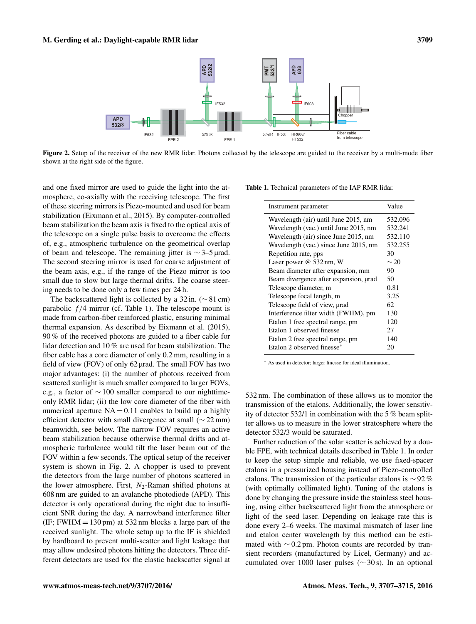<span id="page-2-0"></span>

Figure 2. Setup of the receiver of the new RMR lidar. Photons collected by the telescope are guided to the receiver by a multi-mode fiber shown at the right side of the figure.

and one fixed mirror are used to guide the light into the atmosphere, co-axially with the receiving telescope. The first of these steering mirrors is Piezo-mounted and used for beam stabilization [\(Eixmann et al.,](#page-7-10) [2015\)](#page-7-10). By computer-controlled beam stabilization the beam axis is fixed to the optical axis of the telescope on a single pulse basis to overcome the effects of, e.g., atmospheric turbulence on the geometrical overlap of beam and telescope. The remaining jitter is  $\sim$ 3–5 µrad. The second steering mirror is used for coarse adjustment of the beam axis, e.g., if the range of the Piezo mirror is too small due to slow but large thermal drifts. The coarse steering needs to be done only a few times per 24 h.

The backscattered light is collected by a 32 in. ( $\sim$  81 cm) parabolic  $f/4$  mirror (cf. Table [1\)](#page-2-1). The telescope mount is made from carbon-fiber reinforced plastic, ensuring minimal thermal expansion. As described by [Eixmann et al.](#page-7-10) [\(2015\)](#page-7-10), 90 % of the received photons are guided to a fiber cable for lidar detection and 10 % are used for beam stabilization. The fiber cable has a core diameter of only 0.2 mm, resulting in a field of view (FOV) of only 62 µrad. The small FOV has two major advantages: (i) the number of photons received from scattered sunlight is much smaller compared to larger FOVs, e.g., a factor of ∼ 100 smaller compared to our nighttimeonly RMR lidar; (ii) the low core diameter of the fiber with numerical aperture  $NA = 0.11$  enables to build up a highly efficient detector with small divergence at small (∼ 22 mm) beamwidth, see below. The narrow FOV requires an active beam stabilization because otherwise thermal drifts and atmospheric turbulence would tilt the laser beam out of the FOV within a few seconds. The optical setup of the receiver system is shown in Fig. [2.](#page-2-0) A chopper is used to prevent the detectors from the large number of photons scattered in the lower atmosphere. First,  $N_2$ -Raman shifted photons at 608 nm are guided to an avalanche photodiode (APD). This detector is only operational during the night due to insufficient SNR during the day. A narrowband interference filter (IF; FWHM  $= 130 \text{ pm}$ ) at 532 nm blocks a large part of the received sunlight. The whole setup up to the IF is shielded by hardboard to prevent multi-scatter and light leakage that may allow undesired photons hitting the detectors. Three different detectors are used for the elastic backscatter signal at

<span id="page-2-1"></span>Table 1. Technical parameters of the IAP RMR lidar.

| Instrument parameter                  | Value     |
|---------------------------------------|-----------|
| Wavelength (air) until June 2015, nm  | 532.096   |
| Wavelength (vac.) until June 2015, nm | 532.241   |
| Wavelength (air) since June 2015, nm  | 532.110   |
| Wavelength (vac.) since June 2015, nm | 532.255   |
| Repetition rate, pps                  | 30        |
| Laser power @ 532 nm, W               | $\sim$ 20 |
| Beam diameter after expansion, mm     | 90        |
| Beam divergence after expansion, urad | 50        |
| Telescope diameter, m                 | 0.81      |
| Telescope focal length, m             | 3.25      |
| Telescope field of view, urad         | 62.       |
| Interference filter width (FWHM), pm  | 130       |
| Etalon 1 free spectral range, pm      | 120       |
| Etalon 1 observed finesse             | 27        |
| Etalon 2 free spectral range, pm      | 140       |
| Etalon 2 observed finesse*            | 20        |

<sup>∗</sup> As used in detector; larger finesse for ideal illumination.

532 nm. The combination of these allows us to monitor the transmission of the etalons. Additionally, the lower sensitivity of detector 532/1 in combination with the 5 % beam splitter allows us to measure in the lower stratosphere where the detector 532/3 would be saturated.

Further reduction of the solar scatter is achieved by a double FPE, with technical details described in Table [1.](#page-2-1) In order to keep the setup simple and reliable, we use fixed-spacer etalons in a pressurized housing instead of Piezo-controlled etalons. The transmission of the particular etalons is  $\sim$  92 % (with optimally collimated light). Tuning of the etalons is done by changing the pressure inside the stainless steel housing, using either backscattered light from the atmosphere or light of the seed laser. Depending on leakage rate this is done every 2–6 weeks. The maximal mismatch of laser line and etalon center wavelength by this method can be estimated with ∼ 0.2 pm. Photon counts are recorded by transient recorders (manufactured by Licel, Germany) and accumulated over 1000 laser pulses (∼ 30 s). In an optional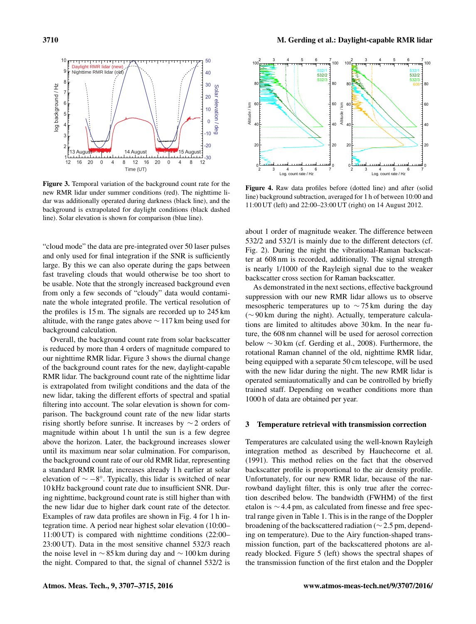<span id="page-3-0"></span>

Figure 3. Temporal variation of the background count rate for the new RMR lidar under summer conditions (red). The nighttime lidar was additionally operated during darkness (black line), and the background is extrapolated for daylight conditions (black dashed line). Solar elevation is shown for comparison (blue line).

"cloud mode" the data are pre-integrated over 50 laser pulses and only used for final integration if the SNR is sufficiently large. By this we can also operate during the gaps between fast traveling clouds that would otherwise be too short to be usable. Note that the strongly increased background even from only a few seconds of "cloudy" data would contaminate the whole integrated profile. The vertical resolution of the profiles is 15 m. The signals are recorded up to 245 km altitude, with the range gates above ∼ 117 km being used for background calculation.

Overall, the background count rate from solar backscatter is reduced by more than 4 orders of magnitude compared to our nighttime RMR lidar. Figure [3](#page-3-0) shows the diurnal change of the background count rates for the new, daylight-capable RMR lidar. The background count rate of the nighttime lidar is extrapolated from twilight conditions and the data of the new lidar, taking the different efforts of spectral and spatial filtering into account. The solar elevation is shown for comparison. The background count rate of the new lidar starts rising shortly before sunrise. It increases by ∼ 2 orders of magnitude within about 1 h until the sun is a few degree above the horizon. Later, the background increases slower until its maximum near solar culmination. For comparison, the background count rate of our old RMR lidar, representing a standard RMR lidar, increases already 1 h earlier at solar elevation of  $\sim -8^{\circ}$ . Typically, this lidar is switched of near 10 kHz background count rate due to insufficient SNR. During nighttime, background count rate is still higher than with the new lidar due to higher dark count rate of the detector. Examples of raw data profiles are shown in Fig. [4](#page-3-1) for 1 h integration time. A period near highest solar elevation (10:00– 11:00 UT) is compared with nighttime conditions (22:00– 23:00 UT). Data in the most sensitive channel 532/3 reach the noise level in  $\sim$  85 km during day and  $\sim$  100 km during the night. Compared to that, the signal of channel 532/2 is

<span id="page-3-1"></span>

Figure 4. Raw data profiles before (dotted line) and after (solid line) background subtraction, averaged for 1 h of between 10:00 and 11:00 UT (left) and 22:00–23:00 UT (right) on 14 August 2012.

about 1 order of magnitude weaker. The difference between 532/2 and 532/1 is mainly due to the different detectors (cf. Fig. [2\)](#page-2-0). During the night the vibrational-Raman backscatter at 608 nm is recorded, additionally. The signal strength is nearly 1/1000 of the Rayleigh signal due to the weaker backscatter cross section for Raman backscatter.

As demonstrated in the next sections, effective background suppression with our new RMR lidar allows us to observe mesospheric temperatures up to ∼ 75 km during the day (∼ 90 km during the night). Actually, temperature calculations are limited to altitudes above 30 km. In the near future, the 608 nm channel will be used for aerosol correction below ∼ 30 km (cf. [Gerding et al.,](#page-7-7) [2008\)](#page-7-7). Furthermore, the rotational Raman channel of the old, nighttime RMR lidar, being equipped with a separate 50 cm telescope, will be used with the new lidar during the night. The new RMR lidar is operated semiautomatically and can be controlled by briefly trained staff. Depending on weather conditions more than 1000 h of data are obtained per year.

#### 3 Temperature retrieval with transmission correction

Temperatures are calculated using the well-known Rayleigh integration method as described by [Hauchecorne et al.](#page-8-8) [\(1991\)](#page-8-8). This method relies on the fact that the observed backscatter profile is proportional to the air density profile. Unfortunately, for our new RMR lidar, because of the narrowband daylight filter, this is only true after the correction described below. The bandwidth (FWHM) of the first etalon is ∼ 4.4 pm, as calculated from finesse and free spectral range given in Table [1.](#page-2-1) This is in the range of the Doppler broadening of the backscattered radiation (∼ 2.5 pm, depending on temperature). Due to the Airy function-shaped transmission function, part of the backscattered photons are already blocked. Figure [5](#page-4-0) (left) shows the spectral shapes of the transmission function of the first etalon and the Doppler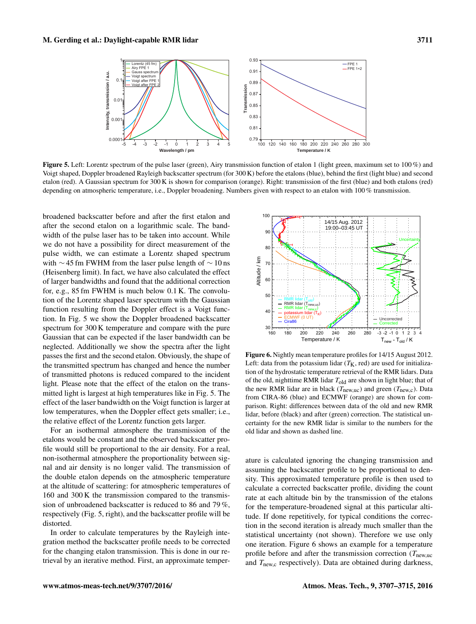<span id="page-4-0"></span>

Figure 5. Left: Lorentz spectrum of the pulse laser (green), Airy transmission function of etalon 1 (light green, maximum set to 100 %) and Voigt shaped, Doppler broadened Rayleigh backscatter spectrum (for 300 K) before the etalons (blue), behind the first (light blue) and second etalon (red). A Gaussian spectrum for 300 K is shown for comparison (orange). Right: transmission of the first (blue) and both etalons (red) depending on atmospheric temperature, i.e., Doppler broadening. Numbers given with respect to an etalon with 100 % transmission.

broadened backscatter before and after the first etalon and after the second etalon on a logarithmic scale. The bandwidth of the pulse laser has to be taken into account. While we do not have a possibility for direct measurement of the pulse width, we can estimate a Lorentz shaped spectrum with  $\sim$  45 fm FWHM from the laser pulse length of  $\sim$  10 ns (Heisenberg limit). In fact, we have also calculated the effect of larger bandwidths and found that the additional correction for, e.g., 85 fm FWHM is much below 0.1 K. The convolution of the Lorentz shaped laser spectrum with the Gaussian function resulting from the Doppler effect is a Voigt function. In Fig. [5](#page-4-0) we show the Doppler broadened backscatter spectrum for 300 K temperature and compare with the pure Gaussian that can be expected if the laser bandwidth can be neglected. Additionally we show the spectra after the light passes the first and the second etalon. Obviously, the shape of the transmitted spectrum has changed and hence the number of transmitted photons is reduced compared to the incident light. Please note that the effect of the etalon on the transmitted light is largest at high temperatures like in Fig. [5.](#page-4-0) The effect of the laser bandwidth on the Voigt function is larger at low temperatures, when the Doppler effect gets smaller; i.e., the relative effect of the Lorentz function gets larger.

For an isothermal atmosphere the transmission of the etalons would be constant and the observed backscatter profile would still be proportional to the air density. For a real, non-isothermal atmosphere the proportionality between signal and air density is no longer valid. The transmission of the double etalon depends on the atmospheric temperature at the altitude of scattering: for atmospheric temperatures of 160 and 300 K the transmission compared to the transmission of unbroadened backscatter is reduced to 86 and 79 %, respectively (Fig. [5,](#page-4-0) right), and the backscatter profile will be distorted.

In order to calculate temperatures by the Rayleigh integration method the backscatter profile needs to be corrected for the changing etalon transmission. This is done in our retrieval by an iterative method. First, an approximate temper-

<span id="page-4-1"></span>

Figure 6. Nightly mean temperature profiles for 14/15 August 2012. Left: data from the potassium lidar  $(T<sub>K</sub>, red)$  are used for initialization of the hydrostatic temperature retrieval of the RMR lidars. Data of the old, nighttime RMR lidar  $T_{old}$  are shown in light blue; that of the new RMR lidar are in black ( $T_{\text{new,uc}}$ ) and green ( $T_{\text{new, c}}$ ). Data from CIRA-86 (blue) and ECMWF (orange) are shown for comparison. Right: differences between data of the old and new RMR lidar, before (black) and after (green) correction. The statistical uncertainty for the new RMR lidar is similar to the numbers for the old lidar and shown as dashed line.

ature is calculated ignoring the changing transmission and assuming the backscatter profile to be proportional to density. This approximated temperature profile is then used to calculate a corrected backscatter profile, dividing the count rate at each altitude bin by the transmission of the etalons for the temperature-broadened signal at this particular altitude. If done repetitively, for typical conditions the correction in the second iteration is already much smaller than the statistical uncertainty (not shown). Therefore we use only one iteration. Figure [6](#page-4-1) shows an example for a temperature profile before and after the transmission correction ( $T_{\text{new,uc}}$ ) and  $T_{\text{new},c}$  respectively). Data are obtained during darkness,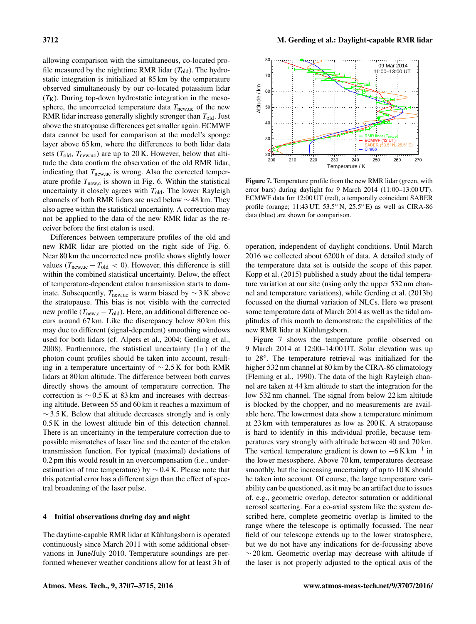allowing comparison with the simultaneous, co-located profile measured by the nighttime RMR lidar  $(T_{old})$ . The hydrostatic integration is initialized at 85 km by the temperature observed simultaneously by our co-located potassium lidar  $(T<sub>K</sub>)$ . During top-down hydrostatic integration in the mesosphere, the uncorrected temperature data  $T_{\text{new,uc}}$  of the new RMR lidar increase generally slightly stronger than  $T_{old}$ . Just above the stratopause differences get smaller again. ECMWF data cannot be used for comparison at the model's sponge layer above 65 km, where the differences to both lidar data sets ( $T_{old}$ ,  $T_{new,uc}$ ) are up to 20 K. However, below that altitude the data confirm the observation of the old RMR lidar, indicating that  $T_{\text{new,uc}}$  is wrong. Also the corrected temperature profile  $T_{\text{new},c}$  is shown in Fig. [6.](#page-4-1) Within the statistical uncertainty it closely agrees with  $T_{old}$ . The lower Rayleigh channels of both RMR lidars are used below ∼ 48 km. They also agree within the statistical uncertainty. A correction may not be applied to the data of the new RMR lidar as the receiver before the first etalon is used.

Differences between temperature profiles of the old and new RMR lidar are plotted on the right side of Fig. [6.](#page-4-1) Near 80 km the uncorrected new profile shows slightly lower values ( $T_{\text{new,uc}} - T_{\text{old}} < 0$ ). However, this difference is still within the combined statistical uncertainty. Below, the effect of temperature-dependent etalon transmission starts to dominate. Subsequently,  $T_{\text{new,uc}}$  is warm biased by  $\sim$  3 K above the stratopause. This bias is not visible with the corrected new profile ( $T_{\text{new},c} - T_{\text{old}}$ ). Here, an additional difference occurs around 67 km. Like the discrepancy below 80 km this may due to different (signal-dependent) smoothing windows used for both lidars (cf. [Alpers et al.,](#page-7-6) [2004;](#page-7-6) [Gerding et al.,](#page-7-7) [2008\)](#page-7-7). Furthermore, the statistical uncertainty  $(1\sigma)$  of the photon count profiles should be taken into account, resulting in a temperature uncertainty of ∼ 2.5 K for both RMR lidars at 80 km altitude. The difference between both curves directly shows the amount of temperature correction. The correction is ∼ 0.5 K at 83 km and increases with decreasing altitude. Between 55 and 60 km it reaches a maximum of  $\sim$  3.5 K. Below that altitude decreases strongly and is only 0.5 K in the lowest altitude bin of this detection channel. There is an uncertainty in the temperature correction due to possible mismatches of laser line and the center of the etalon transmission function. For typical (maximal) deviations of 0.2 pm this would result in an overcompensation (i.e., underestimation of true temperature) by  $\sim$  0.4 K. Please note that this potential error has a different sign than the effect of spectral broadening of the laser pulse.

# 4 Initial observations during day and night

The daytime-capable RMR lidar at Kühlungsborn is operated continuously since March 2011 with some additional observations in June/July 2010. Temperature soundings are performed whenever weather conditions allow for at least 3 h of

<span id="page-5-0"></span>

Figure 7. Temperature profile from the new RMR lidar (green, with error bars) during daylight for 9 March 2014 (11:00–13:00 UT). ECMWF data for 12:00 UT (red), a temporally coincident SABER profile (orange; 11:43 UT, 53.5◦ N, 25.5◦ E) as well as CIRA-86 data (blue) are shown for comparison.

operation, independent of daylight conditions. Until March 2016 we collected about 6200 h of data. A detailed study of the temperature data set is outside the scope of this paper. [Kopp et al.](#page-8-4) [\(2015\)](#page-8-4) published a study about the tidal temperature variation at our site (using only the upper 532 nm channel and temperature variations), while [Gerding et al.](#page-8-3) [\(2013b\)](#page-8-3) focussed on the diurnal variation of NLCs. Here we present some temperature data of March 2014 as well as the tidal amplitudes of this month to demonstrate the capabilities of the new RMR lidar at Kühlungsborn.

Figure [7](#page-5-0) shows the temperature profile observed on 9 March 2014 at 12:00–14:00 UT. Solar elevation was up to 28◦ . The temperature retrieval was initialized for the higher 532 nm channel at 80 km by the CIRA-86 climatology [\(Fleming et al.,](#page-7-11) [1990\)](#page-7-11). The data of the high Rayleigh channel are taken at 44 km altitude to start the integration for the low 532 nm channel. The signal from below 22 km altitude is blocked by the chopper, and no measurements are available here. The lowermost data show a temperature minimum at 23 km with temperatures as low as 200 K. A stratopause is hard to identify in this individual profile, because temperatures vary strongly with altitude between 40 and 70 km. The vertical temperature gradient is down to  $-6$  K km<sup>-1</sup> in the lower mesosphere. Above 70 km, temperatures decrease smoothly, but the increasing uncertainty of up to 10 K should be taken into account. Of course, the large temperature variability can be questioned, as it may be an artifact due to issues of, e.g., geometric overlap, detector saturation or additional aerosol scattering. For a co-axial system like the system described here, complete geometric overlap is limited to the range where the telescope is optimally focussed. The near field of our telescope extends up to the lower stratosphere, but we do not have any indications for de-focussing above  $\sim$  20 km. Geometric overlap may decrease with altitude if the laser is not properly adjusted to the optical axis of the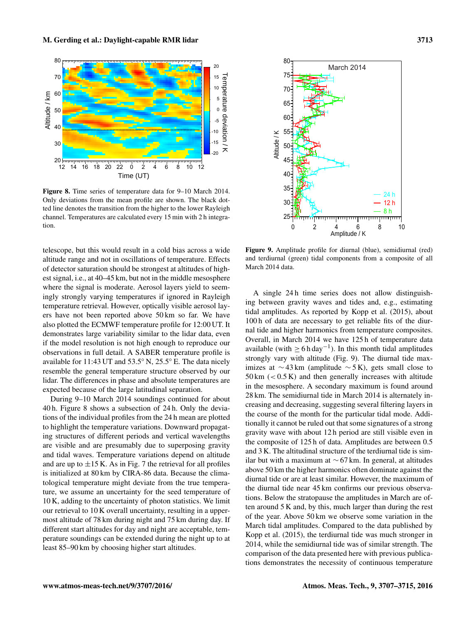<span id="page-6-0"></span>

Figure 8. Time series of temperature data for 9–10 March 2014. Only deviations from the mean profile are shown. The black dotted line denotes the transition from the higher to the lower Rayleigh channel. Temperatures are calculated every 15 min with 2 h integration.

telescope, but this would result in a cold bias across a wide altitude range and not in oscillations of temperature. Effects of detector saturation should be strongest at altitudes of highest signal, i.e., at 40–45 km, but not in the middle mesosphere where the signal is moderate. Aerosol layers yield to seemingly strongly varying temperatures if ignored in Rayleigh temperature retrieval. However, optically visible aerosol layers have not been reported above 50 km so far. We have also plotted the ECMWF temperature profile for 12:00 UT. It demonstrates large variability similar to the lidar data, even if the model resolution is not high enough to reproduce our observations in full detail. A SABER temperature profile is available for 11:43 UT and 53.5◦ N, 25.5◦ E. The data nicely resemble the general temperature structure observed by our lidar. The differences in phase and absolute temperatures are expected because of the large latitudinal separation.

During 9–10 March 2014 soundings continued for about 40 h. Figure [8](#page-6-0) shows a subsection of 24 h. Only the deviations of the individual profiles from the 24 h mean are plotted to highlight the temperature variations. Downward propagating structures of different periods and vertical wavelengths are visible and are presumably due to superposing gravity and tidal waves. Temperature variations depend on altitude and are up to  $\pm 15$  K. As in Fig. [7](#page-5-0) the retrieval for all profiles is initialized at 80 km by CIRA-86 data. Because the climatological temperature might deviate from the true temperature, we assume an uncertainty for the seed temperature of 10 K, adding to the uncertainty of photon statistics. We limit our retrieval to 10 K overall uncertainty, resulting in a uppermost altitude of 78 km during night and 75 km during day. If different start altitudes for day and night are acceptable, temperature soundings can be extended during the night up to at least 85–90 km by choosing higher start altitudes.

<span id="page-6-1"></span>

Figure 9. Amplitude profile for diurnal (blue), semidiurnal (red) and terdiurnal (green) tidal components from a composite of all March 2014 data.

A single 24 h time series does not allow distinguishing between gravity waves and tides and, e.g., estimating tidal amplitudes. As reported by [Kopp et al.](#page-8-4) [\(2015\)](#page-8-4), about 100 h of data are necessary to get reliable fits of the diurnal tide and higher harmonics from temperature composites. Overall, in March 2014 we have 125 h of temperature data available (with  $\geq 6$  h day<sup>-1</sup>). In this month tidal amplitudes strongly vary with altitude (Fig. [9\)](#page-6-1). The diurnal tide maximizes at  $\sim$  43 km (amplitude  $\sim$  5 K), gets small close to  $50 \text{ km }$  (<  $0.5 \text{ K}$ ) and then generally increases with altitude in the mesosphere. A secondary maximum is found around 28 km. The semidiurnal tide in March 2014 is alternately increasing and decreasing, suggesting several filtering layers in the course of the month for the particular tidal mode. Additionally it cannot be ruled out that some signatures of a strong gravity wave with about 12 h period are still visible even in the composite of 125 h of data. Amplitudes are between 0.5 and 3 K. The altitudinal structure of the terdiurnal tide is similar but with a maximum at  $\sim$  67 km. In general, at altitudes above 50 km the higher harmonics often dominate against the diurnal tide or are at least similar. However, the maximum of the diurnal tide near 45 km confirms our previous observations. Below the stratopause the amplitudes in March are often around 5 K and, by this, much larger than during the rest of the year. Above 50 km we observe some variation in the March tidal amplitudes. Compared to the data published by [Kopp et al.](#page-8-4) [\(2015\)](#page-8-4), the terdiurnal tide was much stronger in 2014, while the semidiurnal tide was of similar strength. The comparison of the data presented here with previous publications demonstrates the necessity of continuous temperature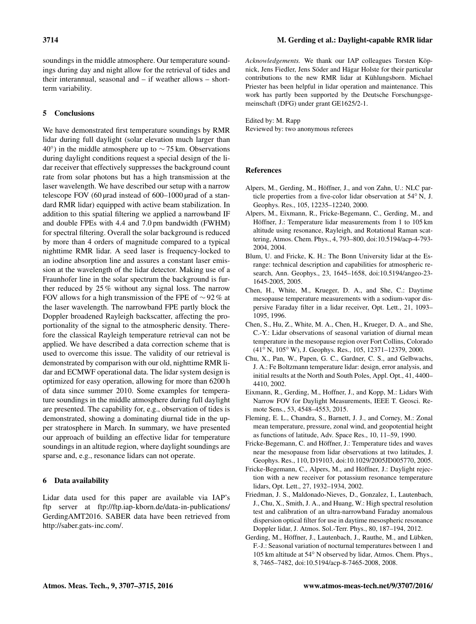soundings in the middle atmosphere. Our temperature soundings during day and night allow for the retrieval of tides and their interannual, seasonal and – if weather allows – shortterm variability.

# 5 Conclusions

We have demonstrated first temperature soundings by RMR lidar during full daylight (solar elevation much larger than 40◦ ) in the middle atmosphere up to ∼ 75 km. Observations during daylight conditions request a special design of the lidar receiver that effectively suppresses the background count rate from solar photons but has a high transmission at the laser wavelength. We have described our setup with a narrow telescope FOV (60 µrad instead of 600–1000 µrad of a standard RMR lidar) equipped with active beam stabilization. In addition to this spatial filtering we applied a narrowband IF and double FPEs with 4.4 and 7.0 pm bandwidth (FWHM) for spectral filtering. Overall the solar background is reduced by more than 4 orders of magnitude compared to a typical nighttime RMR lidar. A seed laser is frequency-locked to an iodine absorption line and assures a constant laser emission at the wavelength of the lidar detector. Making use of a Fraunhofer line in the solar spectrum the background is further reduced by 25 % without any signal loss. The narrow FOV allows for a high transmission of the FPE of  $\sim$  92 % at the laser wavelength. The narrowband FPE partly block the Doppler broadened Rayleigh backscatter, affecting the proportionality of the signal to the atmospheric density. Therefore the classical Rayleigh temperature retrieval can not be applied. We have described a data correction scheme that is used to overcome this issue. The validity of our retrieval is demonstrated by comparison with our old, nighttime RMR lidar and ECMWF operational data. The lidar system design is optimized for easy operation, allowing for more than 6200 h of data since summer 2010. Some examples for temperature soundings in the middle atmosphere during full daylight are presented. The capability for, e.g., observation of tides is demonstrated, showing a dominating diurnal tide in the upper stratosphere in March. In summary, we have presented our approach of building an effective lidar for temperature soundings in an altitude region, where daylight soundings are sparse and, e.g., resonance lidars can not operate.

# 6 Data availability

Lidar data used for this paper are available via IAP's ftp server at [ftp://ftp.iap-kborn.de/data-in-publications/](ftp://ftp.iap-kborn.de/data-in-publications/GerdingAMT2016) [GerdingAMT2016.](ftp://ftp.iap-kborn.de/data-in-publications/GerdingAMT2016) SABER data have been retrieved from [http://saber.gats-inc.com/.](http://saber.gats-inc.com/)

*Acknowledgements.* We thank our IAP colleagues Torsten Köpnick, Jens Fiedler, Jens Söder and Hägar Holste for their particular contributions to the new RMR lidar at Kühlungsborn. Michael Priester has been helpful in lidar operation and maintenance. This work has partly been supported by the Deutsche Forschungsgemeinschaft (DFG) under grant GE1625/2-1.

Edited by: M. Rapp Reviewed by: two anonymous referees

# References

- <span id="page-7-8"></span>Alpers, M., Gerding, M., Höffner, J., and von Zahn, U.: NLC particle properties from a five-color lidar observation at 54◦ N, J. Geophys. Res., 105, 12235–12240, 2000.
- <span id="page-7-6"></span>Alpers, M., Eixmann, R., Fricke-Begemann, C., Gerding, M., and Höffner, J.: Temperature lidar measurements from 1 to 105 km altitude using resonance, Rayleigh, and Rotational Raman scattering, Atmos. Chem. Phys., 4, 793–800, doi[:10.5194/acp-4-793-](http://dx.doi.org/10.5194/acp-4-793-2004) [2004,](http://dx.doi.org/10.5194/acp-4-793-2004) 2004.
- <span id="page-7-5"></span>Blum, U. and Fricke, K. H.: The Bonn University lidar at the Esrange: technical description and capabilities for atmospheric research, Ann. Geophys., 23, 1645–1658, doi[:10.5194/angeo-23-](http://dx.doi.org/10.5194/angeo-23-1645-2005) [1645-2005,](http://dx.doi.org/10.5194/angeo-23-1645-2005) 2005.
- <span id="page-7-1"></span>Chen, H., White, M., Krueger, D. A., and She, C.: Daytime mesopause temperature measurements with a sodium-vapor dispersive Faraday filter in a lidar receiver, Opt. Lett., 21, 1093– 1095, 1996.
- <span id="page-7-0"></span>Chen, S., Hu, Z., White, M. A., Chen, H., Krueger, D. A., and She, C.-Y.: Lidar observations of seasonal variation of diurnal mean temperature in the mesopause region over Fort Collins, Colorado (41◦ N, 105◦ W), J. Geophys. Res., 105, 12371–12379, 2000.
- <span id="page-7-4"></span>Chu, X., Pan, W., Papen, G. C., Gardner, C. S., and Gelbwachs, J. A.: Fe Boltzmann temperature lidar: design, error analysis, and initial results at the North and South Poles, Appl. Opt., 41, 4400– 4410, 2002.
- <span id="page-7-10"></span>Eixmann, R., Gerding, M., Hoffner, J., and Kopp, M.: Lidars With Narrow FOV for Daylight Measurements, IEEE T. Geosci. Remote Sens., 53, 4548–4553, 2015.
- <span id="page-7-11"></span>Fleming, E. L., Chandra, S., Barnett, J. J., and Corney, M.: Zonal mean temperature, pressure, zonal wind, and geopotential height as functions of latitude, Adv. Space Res., 10, 11–59, 1990.
- <span id="page-7-9"></span>Fricke-Begemann, C. and Höffner, J.: Temperature tides and waves near the mesopause from lidar observations at two latitudes, J. Geophys. Res., 110, D19103, doi[:10.1029/2005JD005770,](http://dx.doi.org/10.1029/2005JD005770) 2005.
- <span id="page-7-2"></span>Fricke-Begemann, C., Alpers, M., and Höffner, J.: Daylight rejection with a new receiver for potassium resonance temperature lidars, Opt. Lett., 27, 1932–1934, 2002.
- <span id="page-7-3"></span>Friedman, J. S., Maldonado-Nieves, D., Gonzalez, I., Lautenbach, J., Chu, X., Smith, J. A., and Huang, W.: High spectral resolution test and calibration of an ultra-narrowband Faraday anomalous dispersion optical filter for use in daytime mesospheric resonance Doppler lidar, J. Atmos. Sol.-Terr. Phys., 80, 187–194, 2012.
- <span id="page-7-7"></span>Gerding, M., Höffner, J., Lautenbach, J., Rauthe, M., and Lübken, F.-J.: Seasonal variation of nocturnal temperatures between 1 and 105 km altitude at 54◦ N observed by lidar, Atmos. Chem. Phys., 8, 7465–7482, doi[:10.5194/acp-8-7465-2008,](http://dx.doi.org/10.5194/acp-8-7465-2008) 2008.